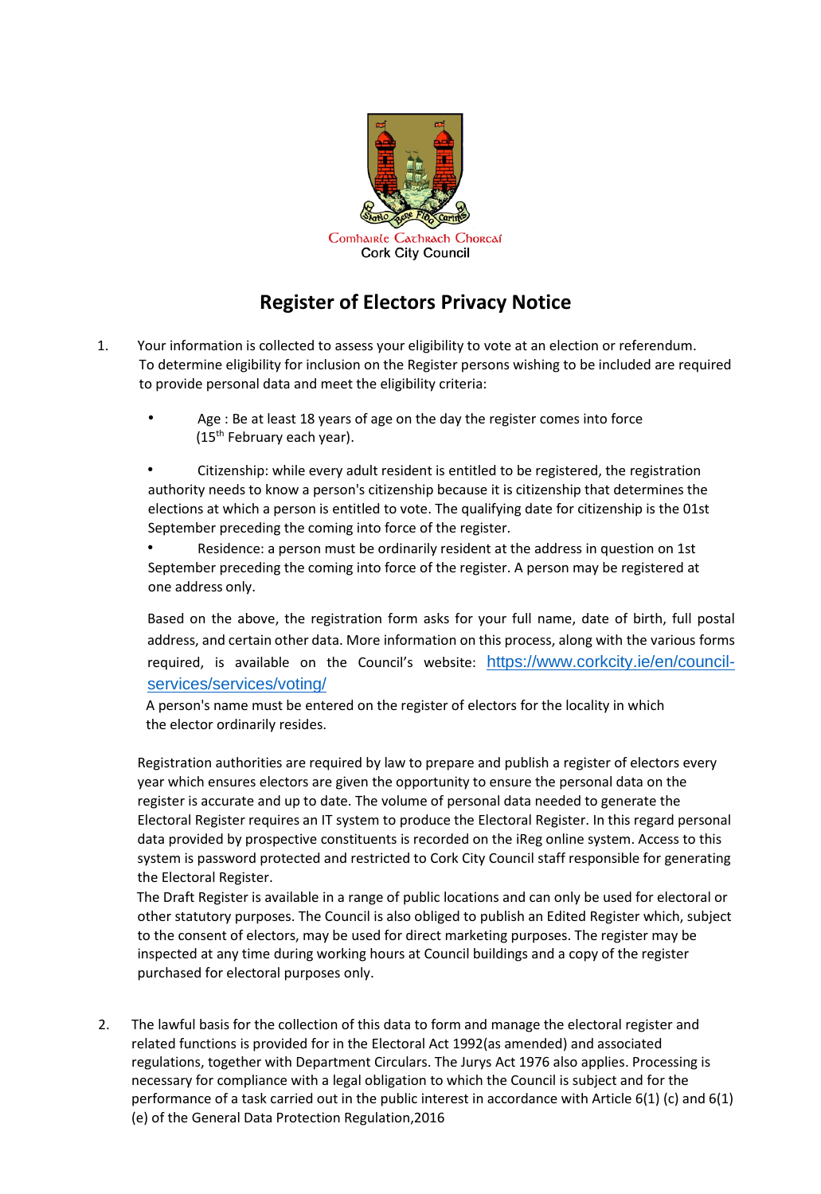

## **Register of Electors Privacy Notice**

- 1. Your information is collected to assess your eligibility to vote at an election or referendum. To determine eligibility for inclusion on the Register persons wishing to be included are required to provide personal data and meet the eligibility criteria:
	- Age : Be at least 18 years of age on the day the register comes into force  $(15<sup>th</sup>$  February each year).

• Citizenship: while every adult resident is entitled to be registered, the registration authority needs to know a person's citizenship because it is citizenship that determines the elections at which a person is entitled to vote. The qualifying date for citizenship is the 01st September preceding the coming into force of the register.

• Residence: a person must be ordinarily resident at the address in question on 1st September preceding the coming into force of the register. A person may be registered at one address only.

Based on the above, the registration form asks for your full name, date of birth, full postal address, and certain other data. More information on this process, along with the various forms required, is available on the Council's website: [https://www.corkcity.ie/en/council](https://www.corkcity.ie/en/council-services/services/voting/)[services/services/voting/](https://www.corkcity.ie/en/council-services/services/voting/)

 A person's name must be entered on the register of electors for the locality in which the elector ordinarily resides.

Registration authorities are required by law to prepare and publish a register of electors every year which ensures electors are given the opportunity to ensure the personal data on the register is accurate and up to date. The volume of personal data needed to generate the Electoral Register requires an IT system to produce the Electoral Register. In this regard personal data provided by prospective constituents is recorded on the iReg online system. Access to this system is password protected and restricted to Cork City Council staff responsible for generating the Electoral Register.

The Draft Register is available in a range of public locations and can only be used for electoral or other statutory purposes. The Council is also obliged to publish an Edited Register which, subject to the consent of electors, may be used for direct marketing purposes. The register may be inspected at any time during working hours at Council buildings and a copy of the register purchased for electoral purposes only.

2. The lawful basis for the collection of this data to form and manage the electoral register and related functions is provided for in the Electoral Act 1992(as amended) and associated regulations, together with Department Circulars. The Jurys Act 1976 also applies. Processing is necessary for compliance with a legal obligation to which the Council is subject and for the performance of a task carried out in the public interest in accordance with Article 6(1) (c) and 6(1) (e) of the General Data Protection Regulation,2016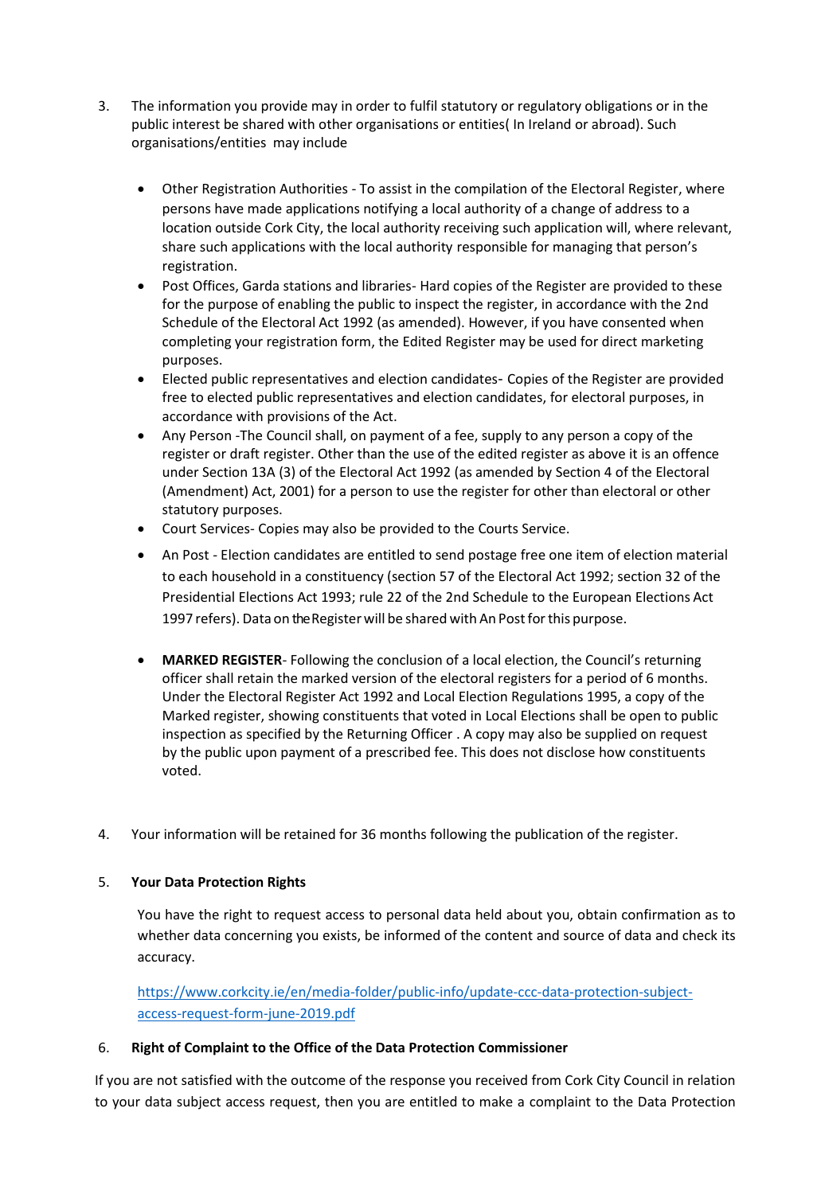- 3. The information you provide may in order to fulfil statutory or regulatory obligations or in the public interest be shared with other organisations or entities( In Ireland or abroad). Such organisations/entities may include
	- Other Registration Authorities To assist in the compilation of the Electoral Register, where persons have made applications notifying a local authority of a change of address to a location outside Cork City, the local authority receiving such application will, where relevant, share such applications with the local authority responsible for managing that person's registration.
	- Post Offices, Garda stations and libraries- Hard copies of the Register are provided to these for the purpose of enabling the public to inspect the register, in accordance with the 2nd Schedule of the Electoral Act 1992 (as amended). However, if you have consented when completing your registration form, the Edited Register may be used for direct marketing purposes.
	- Elected public representatives and election candidates- Copies of the Register are provided free to elected public representatives and election candidates, for electoral purposes, in accordance with provisions of the Act.
	- Any Person -The Council shall, on payment of a fee, supply to any person a copy of the register or draft register. Other than the use of the edited register as above it is an offence under Section 13A (3) of the Electoral Act 1992 (as amended by Section 4 of the Electoral (Amendment) Act, 2001) for a person to use the register for other than electoral or other statutory purposes.
	- Court Services- Copies may also be provided to the Courts Service.
	- An Post Election candidates are entitled to send postage free one item of election material to each household in a constituency (section 57 of the Electoral Act 1992; section 32 of the Presidential Elections Act 1993; rule 22 of the 2nd Schedule to the European Elections Act 1997 refers). Data on the Register will be shared with An Post for this purpose.
	- **MARKED REGISTER** Following the conclusion of a local election, the Council's returning officer shall retain the marked version of the electoral registers for a period of 6 months. Under the Electoral Register Act 1992 and Local Election Regulations 1995, a copy of the Marked register, showing constituents that voted in Local Elections shall be open to public inspection as specified by the Returning Officer . A copy may also be supplied on request by the public upon payment of a prescribed fee. This does not disclose how constituents voted.
- 4. Your information will be retained for 36 months following the publication of the register.

## 5. **Your Data Protection Rights**

You have the right to request access to personal data held about you, obtain confirmation as to whether data concerning you exists, be informed of the content and source of data and check its accuracy.

[https://www.corkcity.ie/en/media-folder/public-info/update-ccc-data-protection-subject](https://www.corkcity.ie/en/media-folder/public-info/update-ccc-data-protection-subject-access-request-form-june-2019.pdf)[access-request-form-june-2019.pdf](https://www.corkcity.ie/en/media-folder/public-info/update-ccc-data-protection-subject-access-request-form-june-2019.pdf)

## 6. **Right of Complaint to the Office of the Data Protection Commissioner**

If you are not satisfied with the outcome of the response you received from Cork City Council in relation to your data subject access request, then you are entitled to make a complaint to the Data Protection